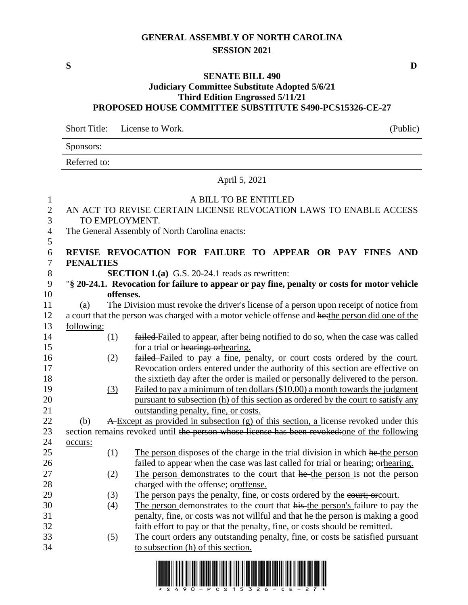## **GENERAL ASSEMBLY OF NORTH CAROLINA SESSION 2021**

## **SENATE BILL 490**

## **Judiciary Committee Substitute Adopted 5/6/21 Third Edition Engrossed 5/11/21 PROPOSED HOUSE COMMITTEE SUBSTITUTE S490-PCS15326-CE-27**

Short Title: License to Work. (Public)

|                    |                                                                                                  | Sponsors:                                                         |                                                                                                                                                               |  |  |  |  |
|--------------------|--------------------------------------------------------------------------------------------------|-------------------------------------------------------------------|---------------------------------------------------------------------------------------------------------------------------------------------------------------|--|--|--|--|
|                    |                                                                                                  | Referred to:                                                      |                                                                                                                                                               |  |  |  |  |
|                    |                                                                                                  | April 5, 2021                                                     |                                                                                                                                                               |  |  |  |  |
| $\mathbf{1}$       |                                                                                                  | A BILL TO BE ENTITLED                                             |                                                                                                                                                               |  |  |  |  |
| $\mathbf{2}$       |                                                                                                  | AN ACT TO REVISE CERTAIN LICENSE REVOCATION LAWS TO ENABLE ACCESS |                                                                                                                                                               |  |  |  |  |
| 3                  | TO EMPLOYMENT.                                                                                   |                                                                   |                                                                                                                                                               |  |  |  |  |
| 4                  |                                                                                                  |                                                                   | The General Assembly of North Carolina enacts:                                                                                                                |  |  |  |  |
| $\mathfrak s$<br>6 |                                                                                                  |                                                                   | REVISE REVOCATION FOR FAILURE TO APPEAR OR PAY FINES AND                                                                                                      |  |  |  |  |
| $\boldsymbol{7}$   | <b>PENALTIES</b>                                                                                 |                                                                   |                                                                                                                                                               |  |  |  |  |
| $8\,$              |                                                                                                  |                                                                   | <b>SECTION 1.(a)</b> G.S. 20-24.1 reads as rewritten:                                                                                                         |  |  |  |  |
| 9                  |                                                                                                  |                                                                   | "§ 20-24.1. Revocation for failure to appear or pay fine, penalty or costs for motor vehicle                                                                  |  |  |  |  |
| 10                 | offenses.                                                                                        |                                                                   |                                                                                                                                                               |  |  |  |  |
| 11                 | (a)                                                                                              |                                                                   | The Division must revoke the driver's license of a person upon receipt of notice from                                                                         |  |  |  |  |
| 12                 | a court that the person was charged with a motor vehicle offense and hethe person did one of the |                                                                   |                                                                                                                                                               |  |  |  |  |
| 13                 | following:                                                                                       |                                                                   |                                                                                                                                                               |  |  |  |  |
| 14                 |                                                                                                  | (1)                                                               | failed Failed to appear, after being notified to do so, when the case was called                                                                              |  |  |  |  |
| 15                 |                                                                                                  |                                                                   | for a trial or hearing; or hearing.                                                                                                                           |  |  |  |  |
| 16                 |                                                                                                  | (2)                                                               | failed Failed to pay a fine, penalty, or court costs ordered by the court.                                                                                    |  |  |  |  |
| 17                 |                                                                                                  |                                                                   | Revocation orders entered under the authority of this section are effective on                                                                                |  |  |  |  |
| 18                 |                                                                                                  |                                                                   | the sixtieth day after the order is mailed or personally delivered to the person.                                                                             |  |  |  |  |
| 19                 |                                                                                                  | (3)                                                               | Failed to pay a minimum of ten dollars (\$10.00) a month towards the judgment                                                                                 |  |  |  |  |
| 20                 |                                                                                                  |                                                                   | pursuant to subsection (h) of this section as ordered by the court to satisfy any                                                                             |  |  |  |  |
| 21                 |                                                                                                  |                                                                   | outstanding penalty, fine, or costs.                                                                                                                          |  |  |  |  |
| 22                 | (b)                                                                                              |                                                                   | A Except as provided in subsection (g) of this section, a license revoked under this                                                                          |  |  |  |  |
| 23                 |                                                                                                  |                                                                   | section remains revoked until the person whose license has been revoked: one of the following                                                                 |  |  |  |  |
| 24                 | occurs:                                                                                          |                                                                   |                                                                                                                                                               |  |  |  |  |
| 25                 |                                                                                                  | (1)                                                               | The person disposes of the charge in the trial division in which he the person                                                                                |  |  |  |  |
| 26                 |                                                                                                  |                                                                   | failed to appear when the case was last called for trial or hearing; or hearing.                                                                              |  |  |  |  |
| 27                 |                                                                                                  | (2)                                                               | The person demonstrates to the court that he the person is not the person                                                                                     |  |  |  |  |
| 28                 |                                                                                                  |                                                                   | charged with the offense; oroffense.                                                                                                                          |  |  |  |  |
| 29                 |                                                                                                  | (3)                                                               | The person pays the penalty, fine, or costs ordered by the eourt; or court.                                                                                   |  |  |  |  |
| 30                 |                                                                                                  | (4)                                                               | The person demonstrates to the court that his the person's failure to pay the                                                                                 |  |  |  |  |
| 31<br>32           |                                                                                                  |                                                                   | penalty, fine, or costs was not willful and that he the person is making a good                                                                               |  |  |  |  |
| 33                 |                                                                                                  |                                                                   | faith effort to pay or that the penalty, fine, or costs should be remitted.<br>The court orders any outstanding penalty, fine, or costs be satisfied pursuant |  |  |  |  |
| 34                 |                                                                                                  | (5)                                                               | to subsection (h) of this section.                                                                                                                            |  |  |  |  |
|                    |                                                                                                  |                                                                   |                                                                                                                                                               |  |  |  |  |



**S D**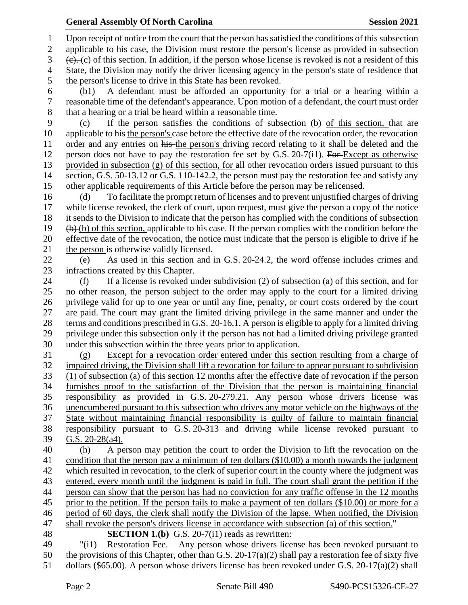Upon receipt of notice from the court that the person has satisfied the conditions of this subsection

applicable to his case, the Division must restore the person's license as provided in subsection

 $3 \quad (e), (c)$  of this section. In addition, if the person whose license is revoked is not a resident of this State, the Division may notify the driver licensing agency in the person's state of residence that the person's license to drive in this State has been revoked.

 (b1) A defendant must be afforded an opportunity for a trial or a hearing within a reasonable time of the defendant's appearance. Upon motion of a defendant, the court must order that a hearing or a trial be heard within a reasonable time.

 (c) If the person satisfies the conditions of subsection (b) of this section, that are 10 applicable to his the person's case before the effective date of the revocation order, the revocation 11 order and any entries on his the person's driving record relating to it shall be deleted and the 12 person does not have to pay the restoration fee set by G.S. 20-7(i1). For Except as otherwise provided in subsection (g) of this section, for all other revocation orders issued pursuant to this section, G.S. 50-13.12 or G.S. 110-142.2, the person must pay the restoration fee and satisfy any other applicable requirements of this Article before the person may be relicensed.

 (d) To facilitate the prompt return of licenses and to prevent unjustified charges of driving while license revoked, the clerk of court, upon request, must give the person a copy of the notice it sends to the Division to indicate that the person has complied with the conditions of subsection  $19 \quad (b)$  (b) of this section, applicable to his case. If the person complies with the condition before the 20 effective date of the revocation, the notice must indicate that the person is eligible to drive if he 21 the person is otherwise validly licensed.

 (e) As used in this section and in G.S. 20-24.2, the word offense includes crimes and infractions created by this Chapter.

 (f) If a license is revoked under subdivision (2) of subsection (a) of this section, and for no other reason, the person subject to the order may apply to the court for a limited driving privilege valid for up to one year or until any fine, penalty, or court costs ordered by the court are paid. The court may grant the limited driving privilege in the same manner and under the terms and conditions prescribed in G.S. 20-16.1. A person is eligible to apply for a limited driving privilege under this subsection only if the person has not had a limited driving privilege granted under this subsection within the three years prior to application.

 (g) Except for a revocation order entered under this section resulting from a charge of impaired driving, the Division shall lift a revocation for failure to appear pursuant to subdivision (1) of subsection (a) of this section 12 months after the effective date of revocation if the person furnishes proof to the satisfaction of the Division that the person is maintaining financial responsibility as provided in G.S. 20-279.21. Any person whose drivers license was unencumbered pursuant to this subsection who drives any motor vehicle on the highways of the State without maintaining financial responsibility is guilty of failure to maintain financial responsibility pursuant to G.S. 20-313 and driving while license revoked pursuant to G.S. 20-28(a4).

 (h) A person may petition the court to order the Division to lift the revocation on the condition that the person pay a minimum of ten dollars (\$10.00) a month towards the judgment which resulted in revocation, to the clerk of superior court in the county where the judgment was entered, every month until the judgment is paid in full. The court shall grant the petition if the person can show that the person has had no conviction for any traffic offense in the 12 months prior to the petition. If the person fails to make a payment of ten dollars (\$10.00) or more for a period of 60 days, the clerk shall notify the Division of the lapse. When notified, the Division shall revoke the person's drivers license in accordance with subsection (a) of this section." **SECTION 1.(b)** G.S. 20-7(i1) reads as rewritten:

 "(i1) Restoration Fee. – Any person whose drivers license has been revoked pursuant to 50 the provisions of this Chapter, other than G.S. 20-17(a)(2) shall pay a restoration fee of sixty five dollars (\$65.00). A person whose drivers license has been revoked under G.S. 20-17(a)(2) shall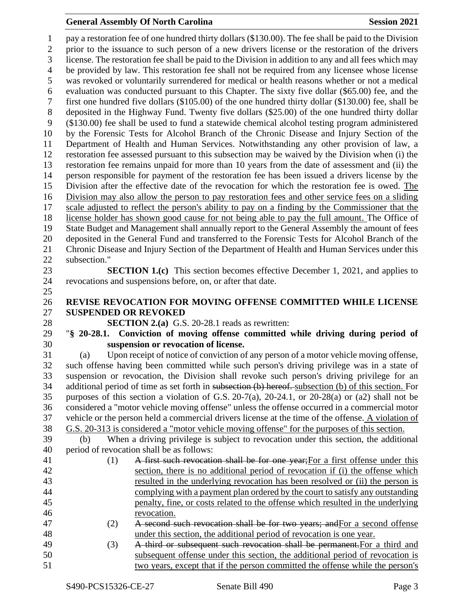## **General Assembly Of North Carolina Session 2021**

 pay a restoration fee of one hundred thirty dollars (\$130.00). The fee shall be paid to the Division prior to the issuance to such person of a new drivers license or the restoration of the drivers license. The restoration fee shall be paid to the Division in addition to any and all fees which may be provided by law. This restoration fee shall not be required from any licensee whose license was revoked or voluntarily surrendered for medical or health reasons whether or not a medical evaluation was conducted pursuant to this Chapter. The sixty five dollar (\$65.00) fee, and the first one hundred five dollars (\$105.00) of the one hundred thirty dollar (\$130.00) fee, shall be deposited in the Highway Fund. Twenty five dollars (\$25.00) of the one hundred thirty dollar (\$130.00) fee shall be used to fund a statewide chemical alcohol testing program administered by the Forensic Tests for Alcohol Branch of the Chronic Disease and Injury Section of the Department of Health and Human Services. Notwithstanding any other provision of law, a restoration fee assessed pursuant to this subsection may be waived by the Division when (i) the restoration fee remains unpaid for more than 10 years from the date of assessment and (ii) the person responsible for payment of the restoration fee has been issued a drivers license by the Division after the effective date of the revocation for which the restoration fee is owed. The Division may also allow the person to pay restoration fees and other service fees on a sliding scale adjusted to reflect the person's ability to pay on a finding by the Commissioner that the license holder has shown good cause for not being able to pay the full amount. The Office of State Budget and Management shall annually report to the General Assembly the amount of fees deposited in the General Fund and transferred to the Forensic Tests for Alcohol Branch of the Chronic Disease and Injury Section of the Department of Health and Human Services under this subsection." **SECTION 1.(c)** This section becomes effective December 1, 2021, and applies to revocations and suspensions before, on, or after that date. **REVISE REVOCATION FOR MOVING OFFENSE COMMITTED WHILE LICENSE SUSPENDED OR REVOKED SECTION 2.(a)** G.S. 20-28.1 reads as rewritten: "**§ 20-28.1. Conviction of moving offense committed while driving during period of suspension or revocation of license.** (a) Upon receipt of notice of conviction of any person of a motor vehicle moving offense, such offense having been committed while such person's driving privilege was in a state of suspension or revocation, the Division shall revoke such person's driving privilege for an additional period of time as set forth in subsection (b) hereof. subsection (b) of this section. For purposes of this section a violation of G.S. 20-7(a), 20-24.1, or 20-28(a) or (a2) shall not be considered a "motor vehicle moving offense" unless the offense occurred in a commercial motor vehicle or the person held a commercial drivers license at the time of the offense. A violation of G.S. 20-313 is considered a "motor vehicle moving offense" for the purposes of this section. (b) When a driving privilege is subject to revocation under this section, the additional period of revocation shall be as follows: 41 (1) A first such revocation shall be for one year; For a first offense under this section, there is no additional period of revocation if (i) the offense which resulted in the underlying revocation has been resolved or (ii) the person is complying with a payment plan ordered by the court to satisfy any outstanding penalty, fine, or costs related to the offense which resulted in the underlying revocation. 47 (2) A second such revocation shall be for two years; and For a second offense under this section, the additional period of revocation is one year. (3) A third or subsequent such revocation shall be permanent.For a third and subsequent offense under this section, the additional period of revocation is two years, except that if the person committed the offense while the person's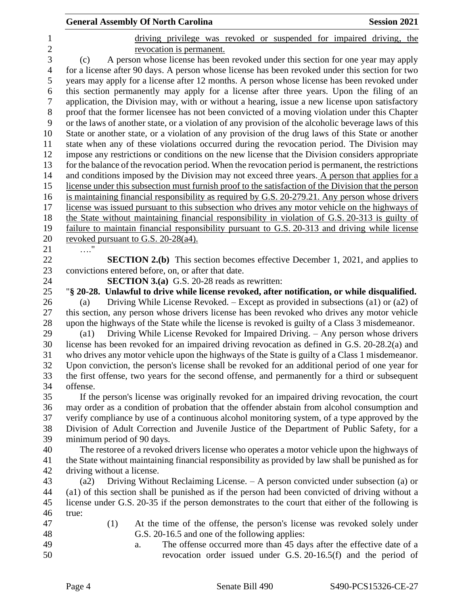|                               | <b>General Assembly Of North Carolina</b><br><b>Session 2021</b>                                                                                                                    |
|-------------------------------|-------------------------------------------------------------------------------------------------------------------------------------------------------------------------------------|
| $\mathbf 1$<br>$\overline{c}$ | driving privilege was revoked or suspended for impaired driving, the<br>revocation is permanent.                                                                                    |
| 3                             | A person whose license has been revoked under this section for one year may apply<br>(c)                                                                                            |
| $\overline{4}$                | for a license after 90 days. A person whose license has been revoked under this section for two                                                                                     |
| 5                             | years may apply for a license after 12 months. A person whose license has been revoked under                                                                                        |
| 6                             | this section permanently may apply for a license after three years. Upon the filing of an                                                                                           |
| $\tau$                        | application, the Division may, with or without a hearing, issue a new license upon satisfactory                                                                                     |
| $8\,$                         | proof that the former licensee has not been convicted of a moving violation under this Chapter                                                                                      |
| 9                             | or the laws of another state, or a violation of any provision of the alcoholic beverage laws of this                                                                                |
| 10                            | State or another state, or a violation of any provision of the drug laws of this State or another                                                                                   |
| 11                            | state when any of these violations occurred during the revocation period. The Division may                                                                                          |
| 12                            | impose any restrictions or conditions on the new license that the Division considers appropriate                                                                                    |
| 13                            | for the balance of the revocation period. When the revocation period is permanent, the restrictions                                                                                 |
| 14                            | and conditions imposed by the Division may not exceed three years. A person that applies for a                                                                                      |
| 15                            | license under this subsection must furnish proof to the satisfaction of the Division that the person                                                                                |
| 16                            | is maintaining financial responsibility as required by G.S. 20-279.21. Any person whose drivers                                                                                     |
| 17                            | license was issued pursuant to this subsection who drives any motor vehicle on the highways of                                                                                      |
| 18                            | the State without maintaining financial responsibility in violation of G.S. 20-313 is guilty of                                                                                     |
| 19                            | failure to maintain financial responsibility pursuant to G.S. 20-313 and driving while license                                                                                      |
| 20                            | revoked pursuant to G.S. 20-28(a4).                                                                                                                                                 |
| 21                            |                                                                                                                                                                                     |
| 22                            | <b>SECTION 2.(b)</b> This section becomes effective December 1, 2021, and applies to                                                                                                |
| 23                            | convictions entered before, on, or after that date.                                                                                                                                 |
| 24<br>25                      | <b>SECTION 3.(a)</b> G.S. 20-28 reads as rewritten:                                                                                                                                 |
| 26                            | "§ 20-28. Unlawful to drive while license revoked, after notification, or while disqualified.<br>Driving While License Revoked. – Except as provided in subsections (a1) or (a2) of |
| 27                            | (a)<br>this section, any person whose drivers license has been revoked who drives any motor vehicle                                                                                 |
| 28                            | upon the highways of the State while the license is revoked is guilty of a Class 3 misdemeanor.                                                                                     |
| 29                            | Driving While License Revoked for Impaired Driving. - Any person whose drivers<br>(a1)                                                                                              |
| 30                            | license has been revoked for an impaired driving revocation as defined in G.S. 20-28.2(a) and                                                                                       |
| 31                            | who drives any motor vehicle upon the highways of the State is guilty of a Class 1 misdemeanor.                                                                                     |
| 32                            | Upon conviction, the person's license shall be revoked for an additional period of one year for                                                                                     |
| 33                            | the first offense, two years for the second offense, and permanently for a third or subsequent                                                                                      |
| 34                            | offense.                                                                                                                                                                            |
| 35                            | If the person's license was originally revoked for an impaired driving revocation, the court                                                                                        |
| 36                            | may order as a condition of probation that the offender abstain from alcohol consumption and                                                                                        |
| 37                            | verify compliance by use of a continuous alcohol monitoring system, of a type approved by the                                                                                       |
| 38                            | Division of Adult Correction and Juvenile Justice of the Department of Public Safety, for a                                                                                         |
| 39                            | minimum period of 90 days.                                                                                                                                                          |
| 40                            | The restoree of a revoked drivers license who operates a motor vehicle upon the highways of                                                                                         |
| 41                            | the State without maintaining financial responsibility as provided by law shall be punished as for                                                                                  |
| 42                            | driving without a license.                                                                                                                                                          |
| 43                            | Driving Without Reclaiming License. – A person convicted under subsection (a) or<br>(a2)                                                                                            |
| 44                            | (a1) of this section shall be punished as if the person had been convicted of driving without a                                                                                     |
| 45                            | license under G.S. 20-35 if the person demonstrates to the court that either of the following is                                                                                    |
| 46                            | true:                                                                                                                                                                               |
| 47                            | (1)<br>At the time of the offense, the person's license was revoked solely under                                                                                                    |
| 48                            | G.S. 20-16.5 and one of the following applies:                                                                                                                                      |
| 49                            | The offense occurred more than 45 days after the effective date of a<br>a.                                                                                                          |
| 50                            | revocation order issued under G.S. 20-16.5(f) and the period of                                                                                                                     |